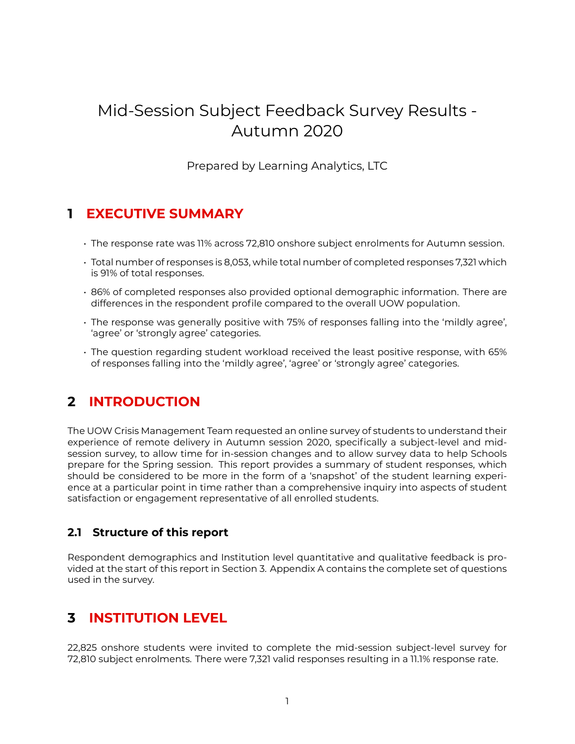# Mid-Session Subject Feedback Survey Results - Autumn 2020

Prepared by Learning Analytics, LTC

### **1 EXECUTIVE SUMMARY**

- The response rate was 11% across 72,810 onshore subject enrolments for Autumn session.
- Total number of responses is 8,053, while total number of completed responses 7,321 which is 91% of total responses.
- 86% of completed responses also provided optional demographic information. There are differences in the respondent profile compared to the overall UOW population.
- The response was generally positive with 75% of responses falling into the 'mildly agree', 'agree' or 'strongly agree' categories.
- The question regarding student workload received the least positive response, with 65% of responses falling into the 'mildly agree', 'agree' or 'strongly agree' categories.

## **2 INTRODUCTION**

The UOW Crisis Management Team requested an online survey of students to understand their experience of remote delivery in Autumn session 2020, specifically a subject-level and midsession survey, to allow time for in-session changes and to allow survey data to help Schools prepare for the Spring session. This report provides a summary of student responses, which should be considered to be more in the form of a 'snapshot' of the student learning experience at a particular point in time rather than a comprehensive inquiry into aspects of student satisfaction or engagement representative of all enrolled students.

### **2.1 Structure of this report**

Respondent demographics and Institution level quantitative and qualitative feedback is provided at the start of this report in Section 3. Appendix A contains the complete set of questions used in the survey.

### **3 INSTITUTION LEVEL**

22,825 onshore students were invited to complete the mid-session subject-level survey for 72,810 subject enrolments. There were 7,321 valid responses resulting in a 11.1% response rate.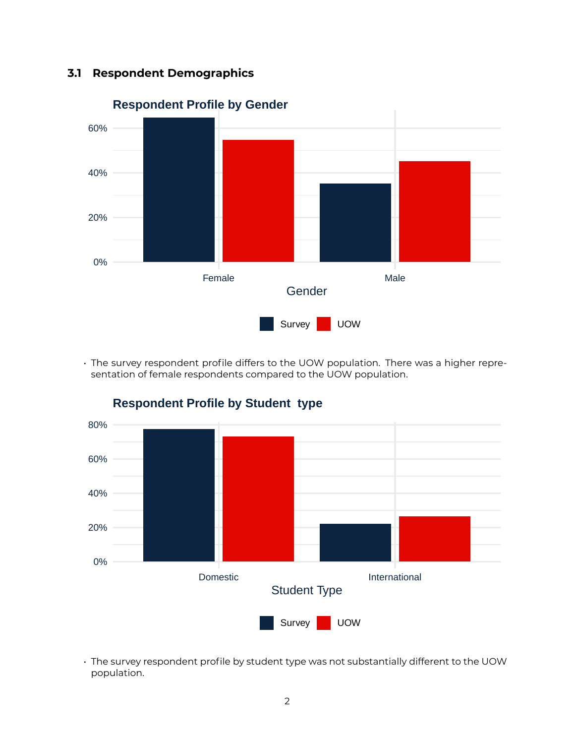### **3.1 Respondent Demographics**



• The survey respondent profile differs to the UOW population. There was a higher representation of female respondents compared to the UOW population.



**Respondent Profile by Student type**

• The survey respondent profile by student type was not substantially different to the UOW population.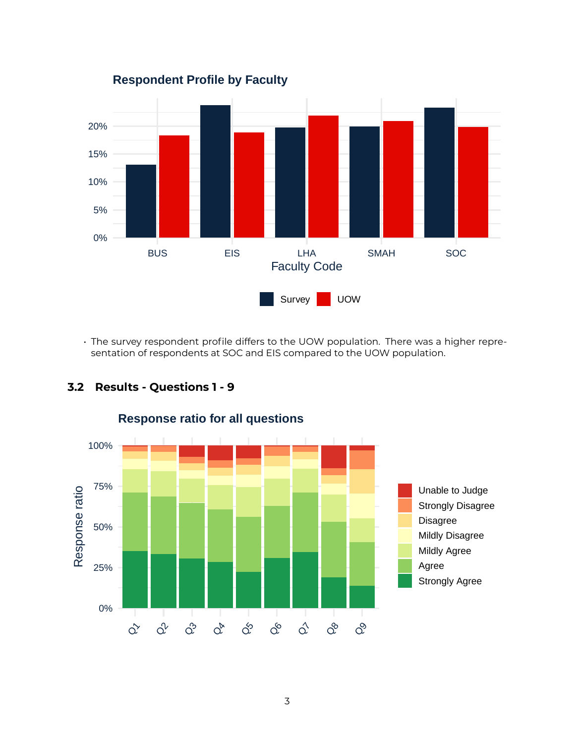

• The survey respondent profile differs to the UOW population. There was a higher representation of respondents at SOC and EIS compared to the UOW population.



### **3.2 Results - Questions 1 - 9**

### **Response ratio for all questions**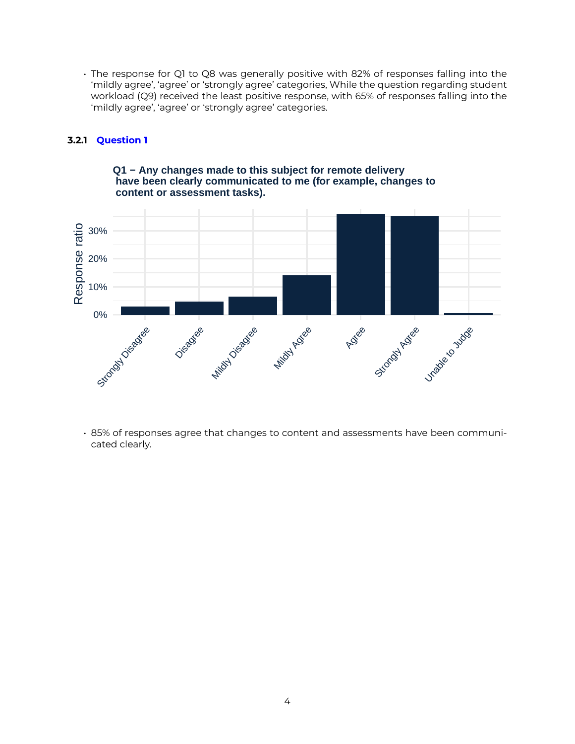• The response for Q1 to Q8 was generally positive with 82% of responses falling into the 'mildly agree', 'agree' or 'strongly agree' categories, While the question regarding student workload (Q9) received the least positive response, with 65% of responses falling into the 'mildly agree', 'agree' or 'strongly agree' categories.

#### **3.2.1 Question 1**



**Q1 − Any changes made to this subject for remote delivery have been clearly communicated to me (for example, changes to content or assessment tasks).**

• 85% of responses agree that changes to content and assessments have been communicated clearly.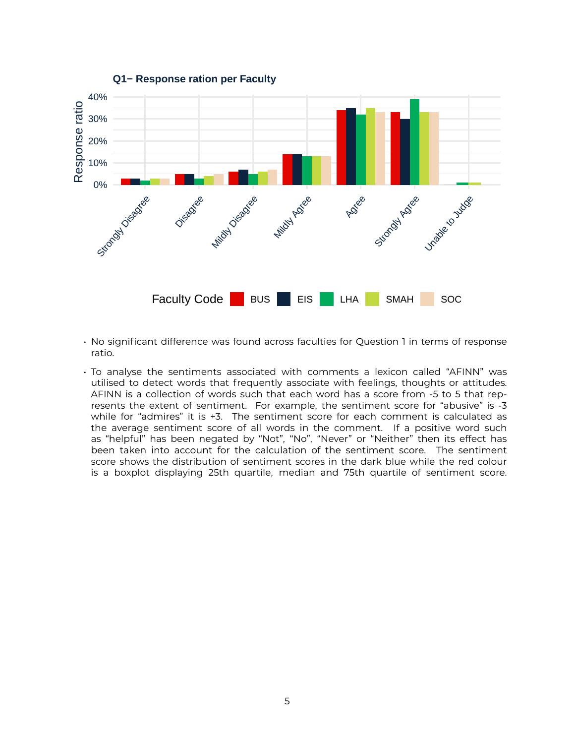

- No significant difference was found across faculties for Question 1 in terms of response ratio.
- To analyse the sentiments associated with comments a lexicon called "AFINN" was utilised to detect words that frequently associate with feelings, thoughts or attitudes. AFINN is a collection of words such that each word has a score from -5 to 5 that represents the extent of sentiment. For example, the sentiment score for "abusive" is -3 while for "admires" it is +3. The sentiment score for each comment is calculated as the average sentiment score of all words in the comment. If a positive word such as "helpful" has been negated by "Not", "No", "Never" or "Neither" then its effect has been taken into account for the calculation of the sentiment score. The sentiment score shows the distribution of sentiment scores in the dark blue while the red colour is a boxplot displaying 25th quartile, median and 75th quartile of sentiment score.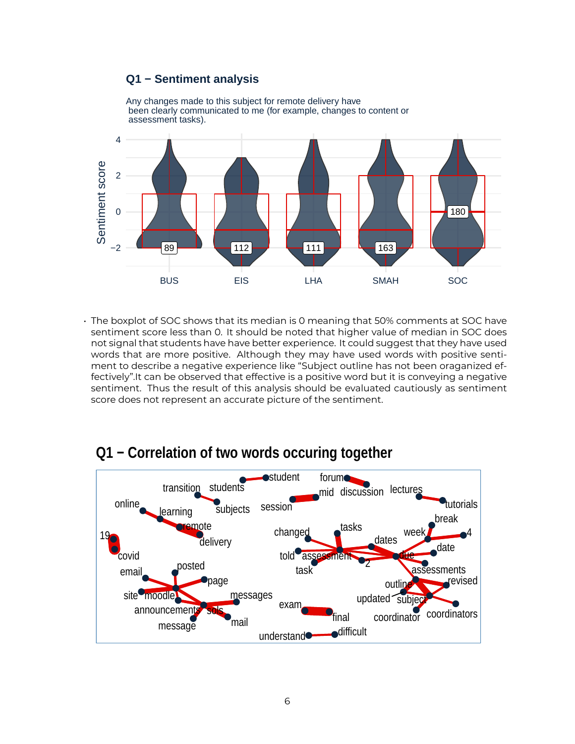### **Q1 − Sentiment analysis**



• The boxplot of SOC shows that its median is 0 meaning that 50% comments at SOC have

sentiment score less than 0. It should be noted that higher value of median in SOC does not signal that students have have better experience. It could suggest that they have used words that are more positive. Although they may have used words with positive sentiment to describe a negative experience like "Subject outline has not been oraganized effectively".It can be observed that effective is a positive word but it is conveying a negative sentiment. Thus the result of this analysis should be evaluated cautiously as sentiment score does not represent an accurate picture of the sentiment.



# **Q1 − Correlation of two words occuring together**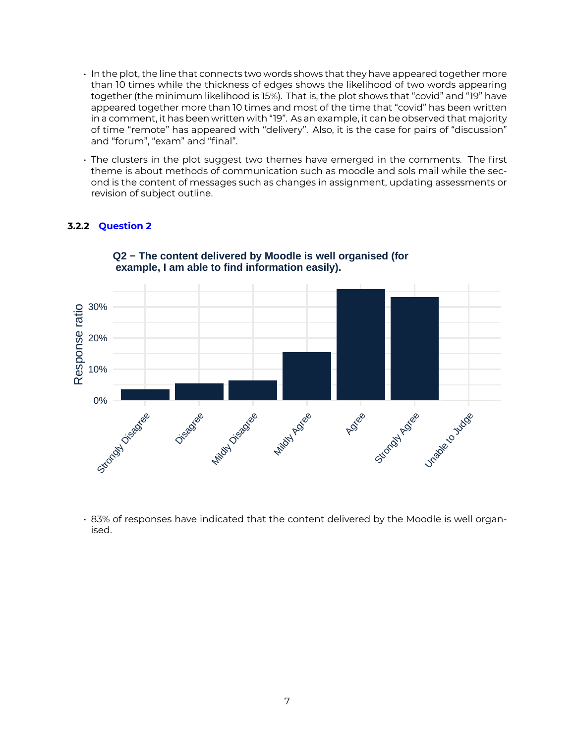- In the plot, the line that connects two words shows that they have appeared together more than 10 times while the thickness of edges shows the likelihood of two words appearing together (the minimum likelihood is 15%). That is, the plot shows that "covid" and "19" have appeared together more than 10 times and most of the time that "covid" has been written in a comment, it has been written with "19". As an example, it can be observed that majority of time "remote" has appeared with "delivery". Also, it is the case for pairs of "discussion" and "forum", "exam" and "final".
- The clusters in the plot suggest two themes have emerged in the comments. The first theme is about methods of communication such as moodle and sols mail while the second is the content of messages such as changes in assignment, updating assessments or revision of subject outline.

#### **3.2.2 Question 2**



**Q2 − The content delivered by Moodle is well organised (for example, I am able to find information easily).**

• 83% of responses have indicated that the content delivered by the Moodle is well organised.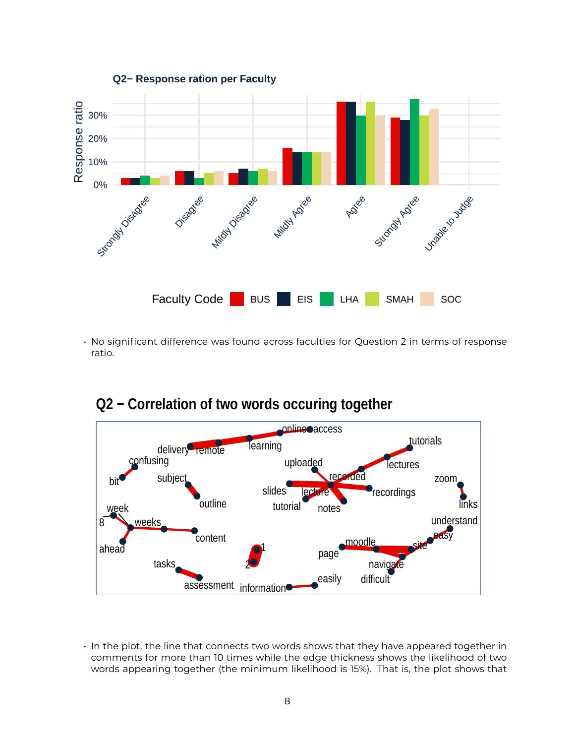

• No significant difference was found across faculties for Question 2 in terms of response ratio.



**Q2 − Correlation of two words occuring together**

• In the plot, the line that connects two words shows that they have appeared together in comments for more than 10 times while the edge thickness shows the likelihood of two words appearing together (the minimum likelihood is 15%). That is, the plot shows that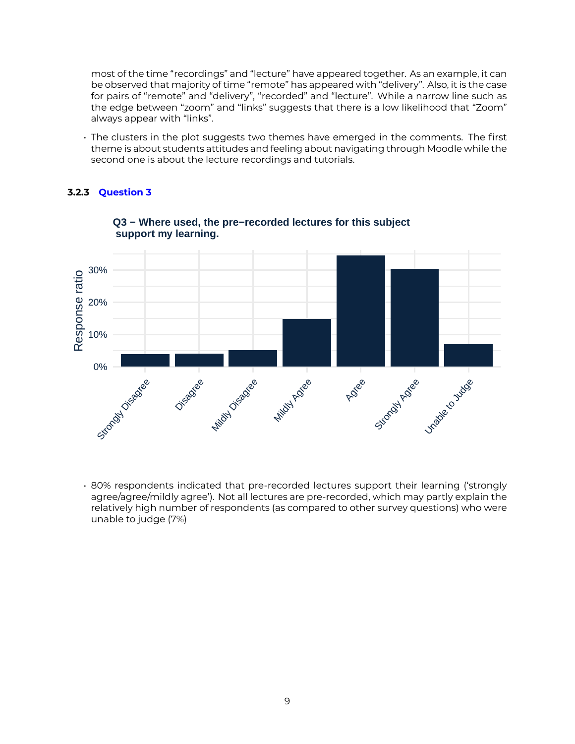most of the time "recordings" and "lecture" have appeared together. As an example, it can be observed that majority of time "remote" has appeared with "delivery". Also, it is the case for pairs of "remote" and "delivery", "recorded" and "lecture". While a narrow line such as the edge between "zoom" and "links" suggests that there is a low likelihood that "Zoom" always appear with "links".

• The clusters in the plot suggests two themes have emerged in the comments. The first theme is about students attitudes and feeling about navigating through Moodle while the second one is about the lecture recordings and tutorials.

#### **3.2.3 Question 3**



**Q3 − Where used, the pre−recorded lectures for this subject support my learning.**

• 80% respondents indicated that pre-recorded lectures support their learning ('strongly agree/agree/mildly agree'). Not all lectures are pre-recorded, which may partly explain the relatively high number of respondents (as compared to other survey questions) who were unable to judge (7%)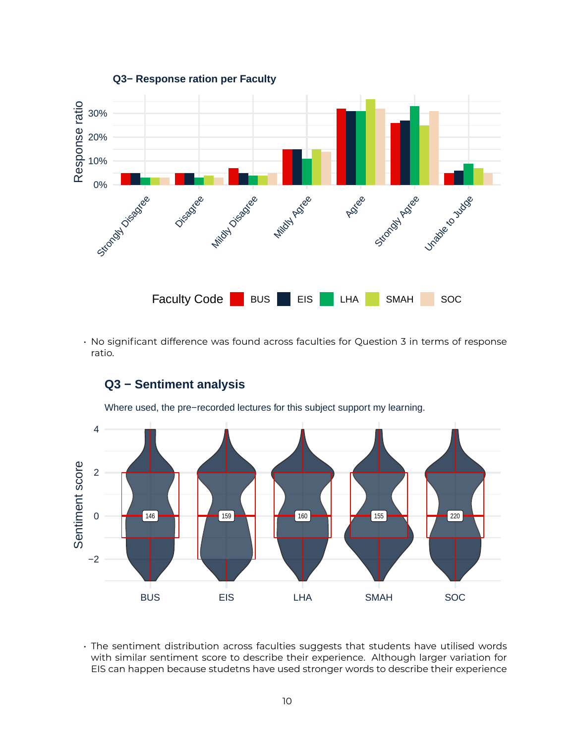

• No significant difference was found across faculties for Question 3 in terms of response ratio.



**Q3 − Sentiment analysis**

• The sentiment distribution across faculties suggests that students have utilised words with similar sentiment score to describe their experience. Although larger variation for EIS can happen because studetns have used stronger words to describe their experience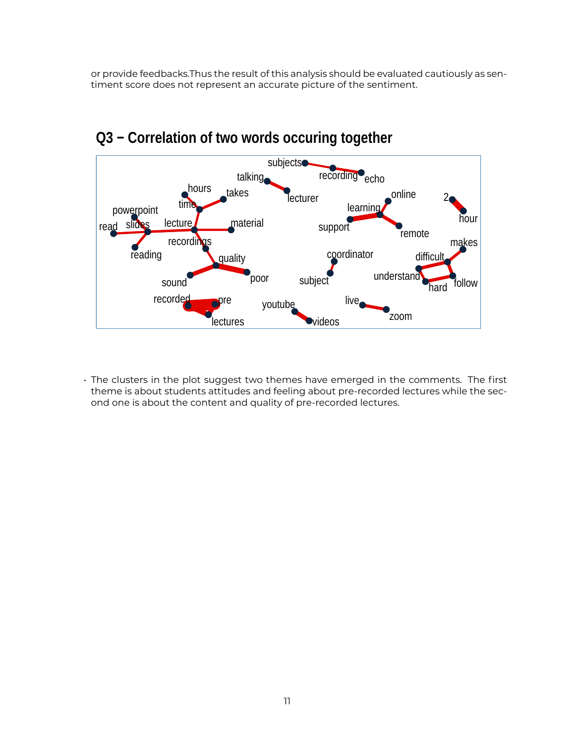or provide feedbacks.Thus the result of this analysis should be evaluated cautiously as sentiment score does not represent an accurate picture of the sentiment.



# **Q3 − Correlation of two words occuring together**

• The clusters in the plot suggest two themes have emerged in the comments. The first theme is about students attitudes and feeling about pre-recorded lectures while the second one is about the content and quality of pre-recorded lectures.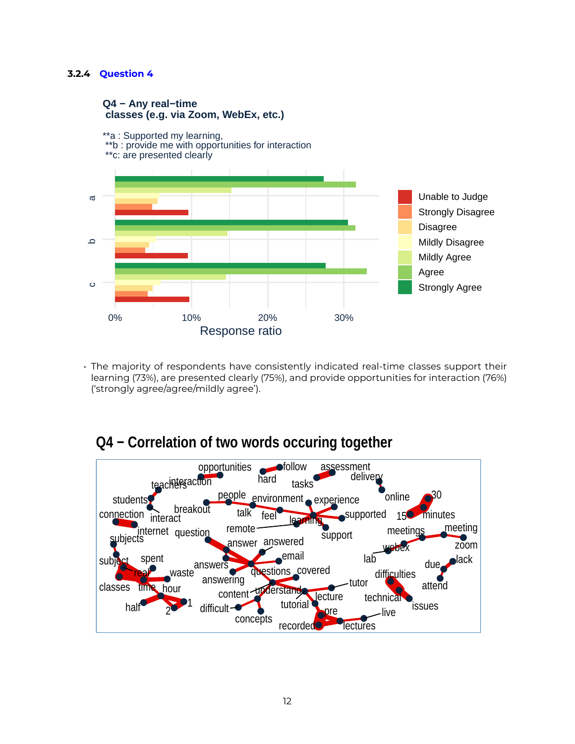#### **3.2.4 Question 4**

#### **Q4 − Any real−time classes (e.g. via Zoom, WebEx, etc.)**



• The majority of respondents have consistently indicated real-time classes support their learning (73%), are presented clearly (75%), and provide opportunities for interaction (76%) ('strongly agree/agree/mildly agree').

# **Q4 − Correlation of two words occuring together**

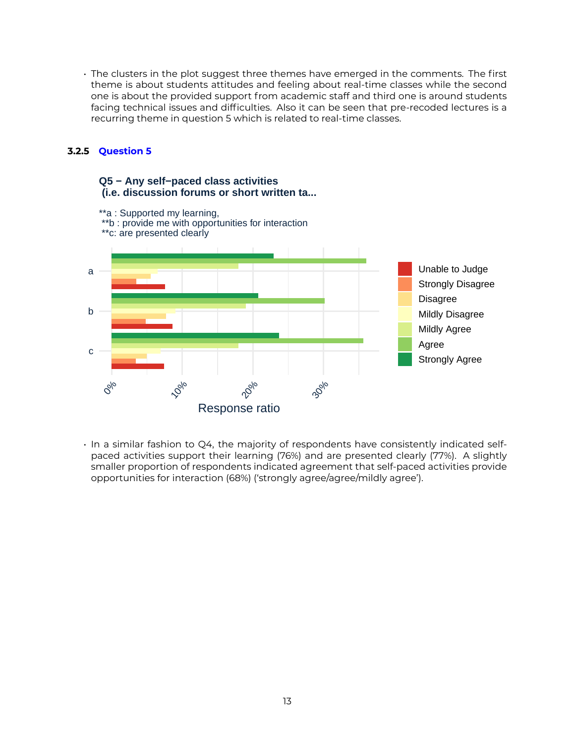• The clusters in the plot suggest three themes have emerged in the comments. The first theme is about students attitudes and feeling about real-time classes while the second one is about the provided support from academic staff and third one is around students facing technical issues and difficulties. Also it can be seen that pre-recoded lectures is a recurring theme in question 5 which is related to real-time classes.

#### **3.2.5 Question 5**

#### **Q5 − Any self−paced class activities (i.e. discussion forums or short written ta...**



• In a similar fashion to Q4, the majority of respondents have consistently indicated selfpaced activities support their learning (76%) and are presented clearly (77%). A slightly smaller proportion of respondents indicated agreement that self-paced activities provide opportunities for interaction (68%) ('strongly agree/agree/mildly agree').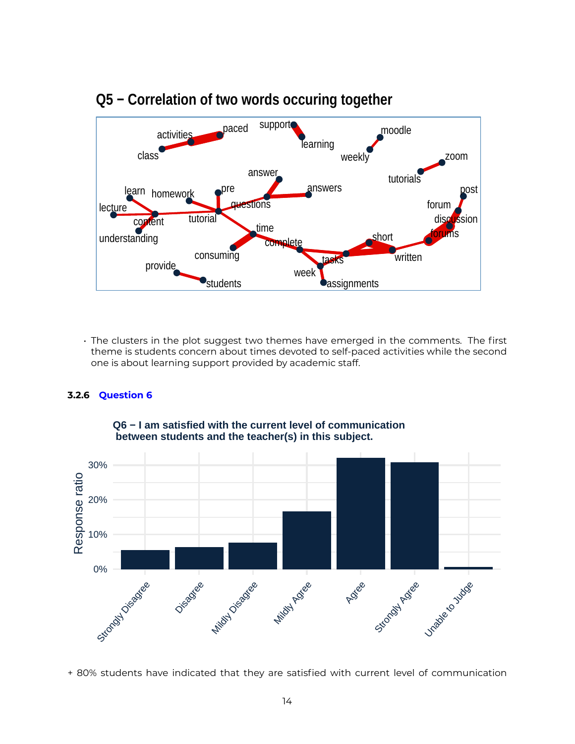

## **Q5 − Correlation of two words occuring together**

• The clusters in the plot suggest two themes have emerged in the comments. The first theme is students concern about times devoted to self-paced activities while the second one is about learning support provided by academic staff.

#### **3.2.6 Question 6**



**Q6 − I am satisfied with the current level of communication between students and the teacher(s) in this subject.**

+ 80% students have indicated that they are satisfied with current level of communication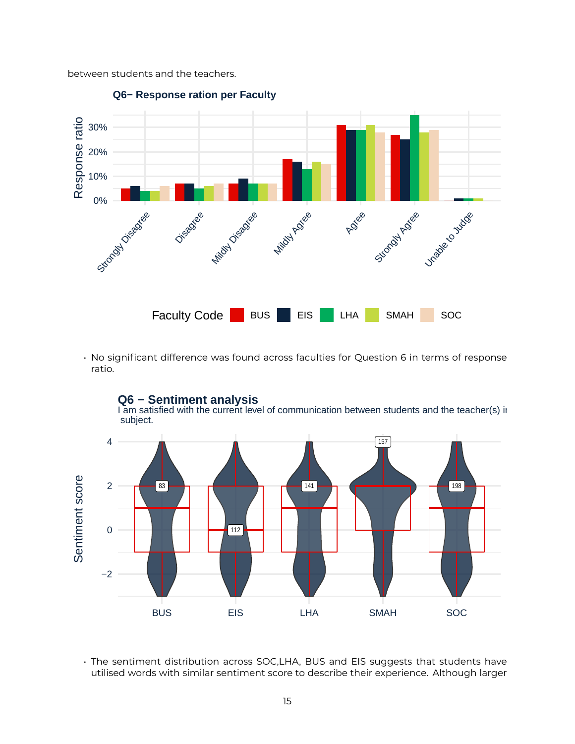between students and the teachers.



• No significant difference was found across faculties for Question 6 in terms of response ratio.



**Q6 − Sentiment analysis**

I am satisfied with the current level of communication between students and the teacher(s) ir subject.

• The sentiment distribution across SOC,LHA, BUS and EIS suggests that students have utilised words with similar sentiment score to describe their experience. Although larger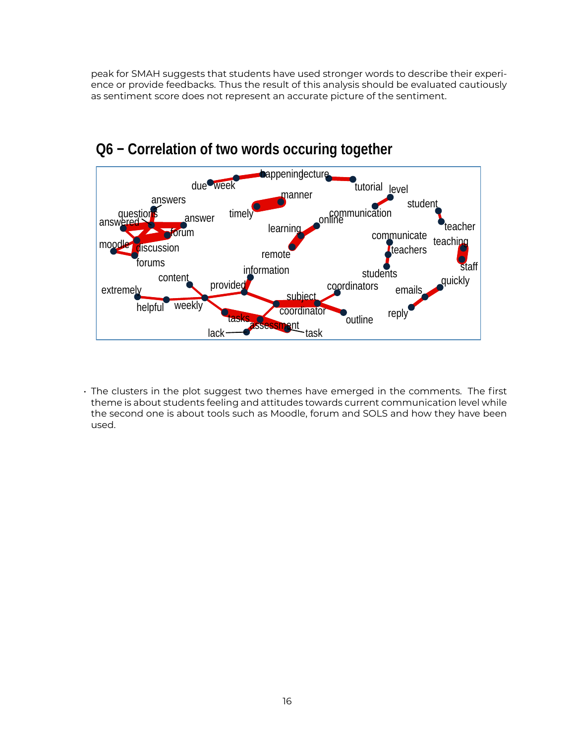peak for SMAH suggests that students have used stronger words to describe their experience or provide feedbacks. Thus the result of this analysis should be evaluated cautiously as sentiment score does not represent an accurate picture of the sentiment.



# **Q6 − Correlation of two words occuring together**

• The clusters in the plot suggest two themes have emerged in the comments. The first theme is about students feeling and attitudes towards current communication level while the second one is about tools such as Moodle, forum and SOLS and how they have been used.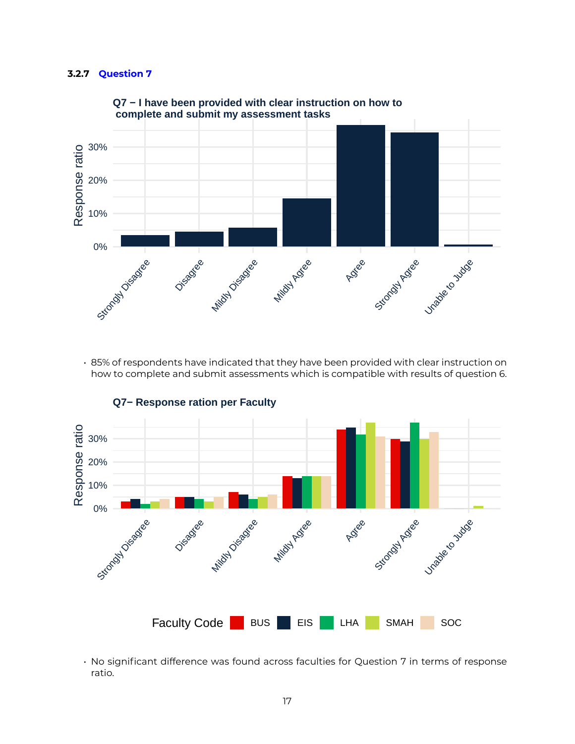#### **3.2.7 Question 7**



**Q7 − I have been provided with clear instruction on how to complete and submit my assessment tasks**

• 85% of respondents have indicated that they have been provided with clear instruction on how to complete and submit assessments which is compatible with results of question 6.



**Q7− Response ration per Faculty** 

• No significant difference was found across faculties for Question 7 in terms of response ratio.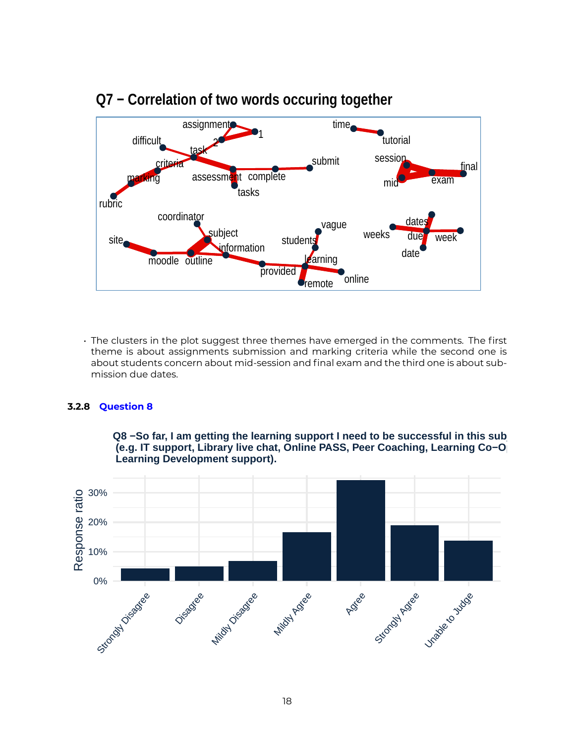

## **Q7 − Correlation of two words occuring together**

• The clusters in the plot suggest three themes have emerged in the comments. The first theme is about assignments submission and marking criteria while the second one is about students concern about mid-session and final exam and the third one is about submission due dates.

#### **3.2.8 Question 8**

**Q8 –So far, I am getting the learning support I need to be successful in this sub (e.g. IT support, Library live chat, Online PASS, Peer Coaching, Learning Co-O Learning Development support).**

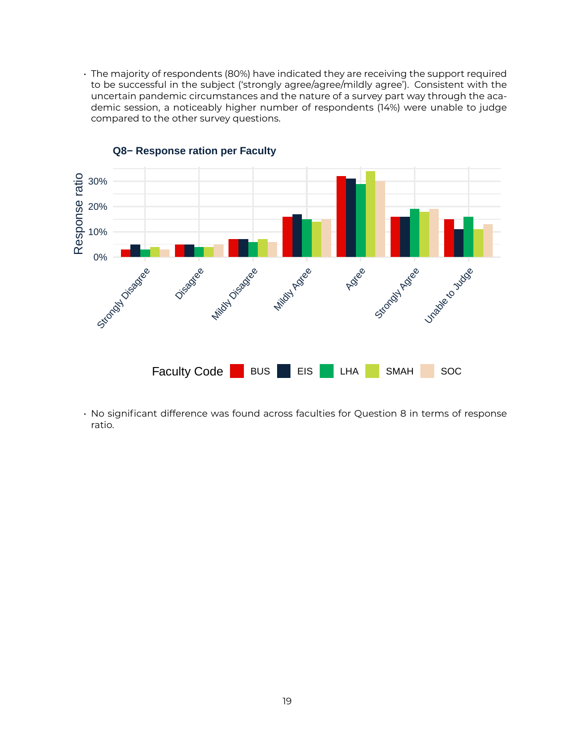• The majority of respondents (80%) have indicated they are receiving the support required to be successful in the subject ('strongly agree/agree/mildly agree'). Consistent with the uncertain pandemic circumstances and the nature of a survey part way through the academic session, a noticeably higher number of respondents (14%) were unable to judge compared to the other survey questions.



#### **Q8− Response ration per Faculty**

• No significant difference was found across faculties for Question 8 in terms of response ratio.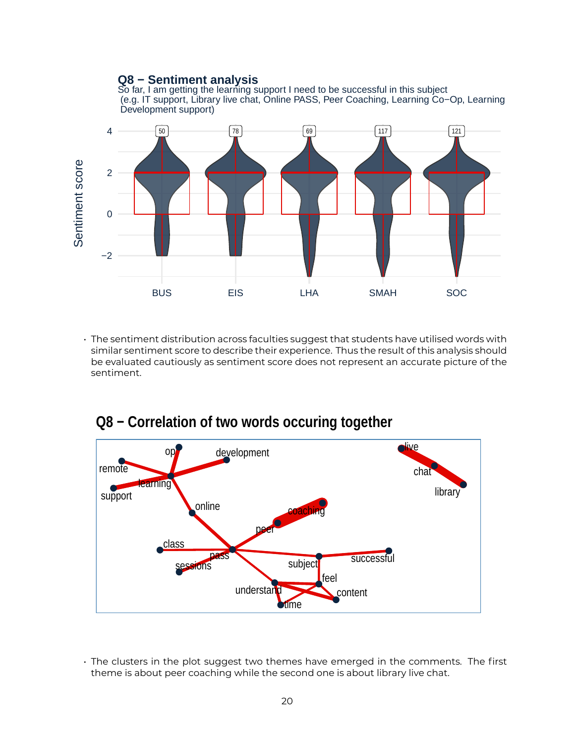### **Q8 − Sentiment analysis**

So far, I am getting the learning support I need to be successful in this subject (e.g. IT support, Library live chat, Online PASS, Peer Coaching, Learning Co−Op, Learning Development support)



• The sentiment distribution across faculties suggest that students have utilised words with similar sentiment score to describe their experience. Thus the result of this analysis should be evaluated cautiously as sentiment score does not represent an accurate picture of the sentiment.



## **Q8 − Correlation of two words occuring together**

• The clusters in the plot suggest two themes have emerged in the comments. The first theme is about peer coaching while the second one is about library live chat.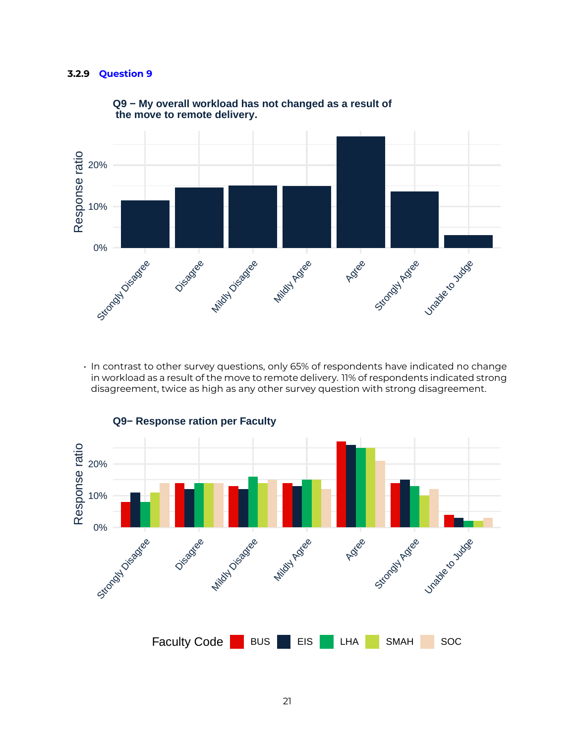#### **3.2.9 Question 9**



#### **Q9 − My overall workload has not changed as a result of the move to remote delivery.**

• In contrast to other survey questions, only 65% of respondents have indicated no change in workload as a result of the move to remote delivery. 11% of respondents indicated strong disagreement, twice as high as any other survey question with strong disagreement.



**Q9− Response ration per Faculty**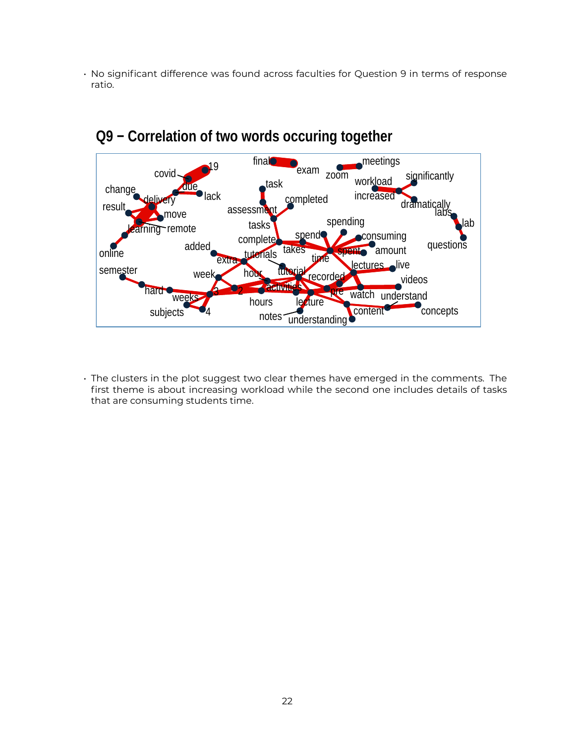• No significant difference was found across faculties for Question 9 in terms of response ratio.



## **Q9 − Correlation of two words occuring together**

• The clusters in the plot suggest two clear themes have emerged in the comments. The first theme is about increasing workload while the second one includes details of tasks that are consuming students time.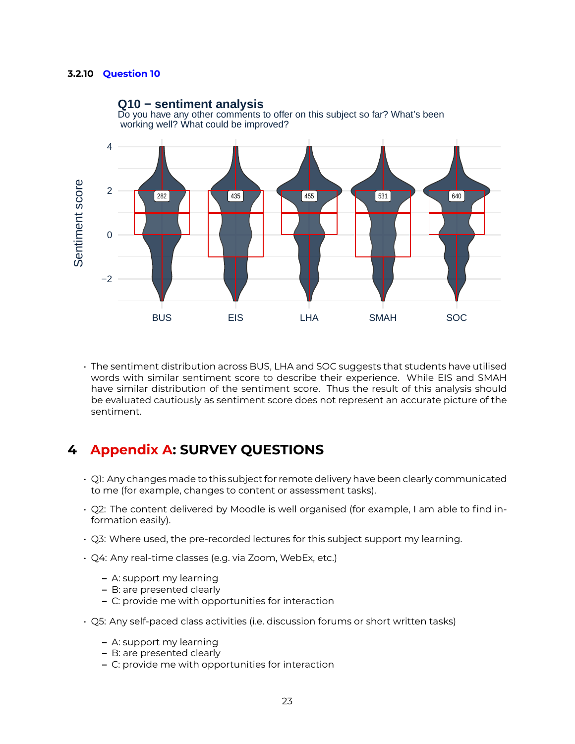#### **3.2.10 Question 10**



Do you have any other comments to offer on this subject so far? What's been **Q10 − sentiment analysis**

• The sentiment distribution across BUS, LHA and SOC suggests that students have utilised words with similar sentiment score to describe their experience. While EIS and SMAH have similar distribution of the sentiment score. Thus the result of this analysis should be evaluated cautiously as sentiment score does not represent an accurate picture of the sentiment.

### **4 Appendix A: SURVEY QUESTIONS**

- Q1: Any changes made to this subject for remote delivery have been clearly communicated to me (for example, changes to content or assessment tasks).
- Q2: The content delivered by Moodle is well organised (for example, I am able to find information easily).
- Q3: Where used, the pre-recorded lectures for this subject support my learning.
- Q4: Any real-time classes (e.g. via Zoom, WebEx, etc.)
	- **–** A: support my learning
	- **–** B: are presented clearly
	- **–** C: provide me with opportunities for interaction
- Q5: Any self-paced class activities (i.e. discussion forums or short written tasks)
	- **–** A: support my learning
	- **–** B: are presented clearly
	- **–** C: provide me with opportunities for interaction